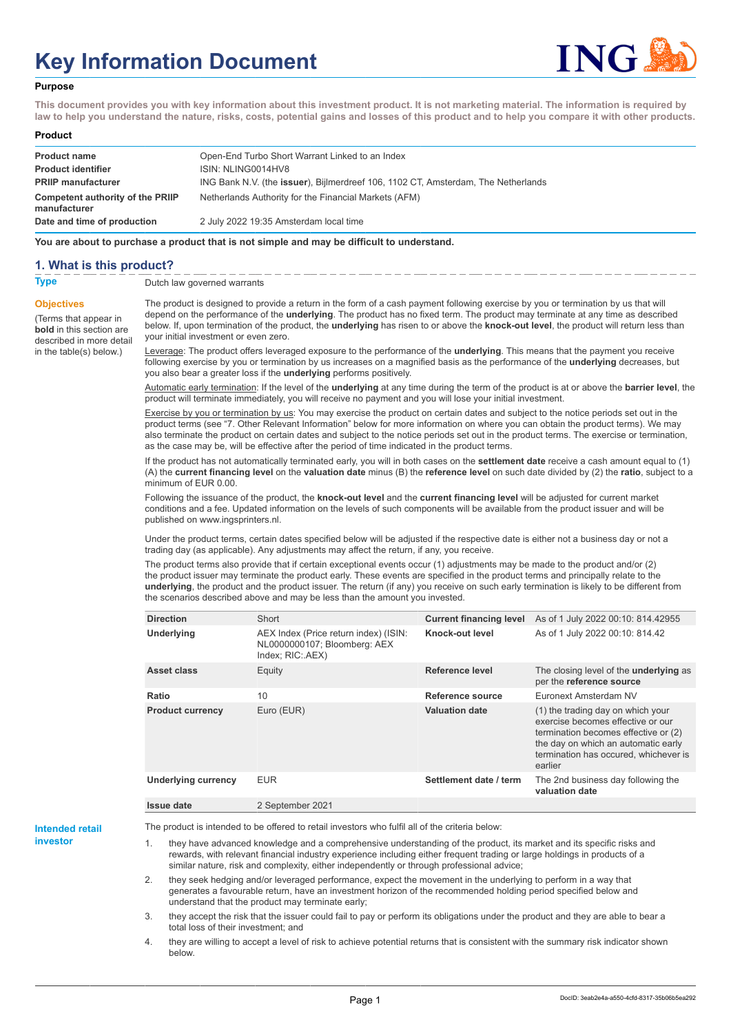# **Key Information Document**



#### **Purpose**

**This document provides you with key information about this investment product. It is not marketing material. The information is required by law to help you understand the nature, risks, costs, potential gains and losses of this product and to help you compare it with other products.**

#### **Product**

| <b>Product name</b><br><b>Product identifier</b> | Open-End Turbo Short Warrant Linked to an Index<br>ISIN: NLING0014HV8             |
|--------------------------------------------------|-----------------------------------------------------------------------------------|
| <b>PRIIP manufacturer</b>                        | ING Bank N.V. (the issuer), Bijlmerdreef 106, 1102 CT, Amsterdam, The Netherlands |
| Competent authority of the PRIIP<br>manufacturer | Netherlands Authority for the Financial Markets (AFM)                             |
| Date and time of production                      | 2 July 2022 19:35 Amsterdam local time                                            |

**You are about to purchase a product that is not simple and may be difficult to understand.**

### **1. What is this product?**

**Objectives**

(Terms that appear in **bold** in this section are

in the table(s) below.)

**Type** Dutch law governed warrants

described in more detail The product is designed to provide a return in the form of a cash payment following exercise by you or termination by us that will depend on the performance of the **underlying**. The product has no fixed term. The product may terminate at any time as described below. If, upon termination of the product, the **underlying** has risen to or above the **knock-out level**, the product will return less than your initial investment or even zero.

> Leverage: The product offers leveraged exposure to the performance of the **underlying**. This means that the payment you receive following exercise by you or termination by us increases on a magnified basis as the performance of the **underlying** decreases, but you also bear a greater loss if the **underlying** performs positively.

Automatic early termination: If the level of the **underlying** at any time during the term of the product is at or above the **barrier level**, the product will terminate immediately, you will receive no payment and you will lose your initial investment.

Exercise by you or termination by us: You may exercise the product on certain dates and subject to the notice periods set out in the product terms (see "7. Other Relevant Information" below for more information on where you can obtain the product terms). We may also terminate the product on certain dates and subject to the notice periods set out in the product terms. The exercise or termination, as the case may be, will be effective after the period of time indicated in the product terms.

If the product has not automatically terminated early, you will in both cases on the **settlement date** receive a cash amount equal to (1) (A) the **current financing level** on the **valuation date** minus (B) the **reference level** on such date divided by (2) the **ratio**, subject to a minimum of EUR 0.00.

Following the issuance of the product, the **knock-out level** and the **current financing level** will be adjusted for current market conditions and a fee. Updated information on the levels of such components will be available from the product issuer and will be published on www.ingsprinters.nl.

Under the product terms, certain dates specified below will be adjusted if the respective date is either not a business day or not a trading day (as applicable). Any adjustments may affect the return, if any, you receive.

The product terms also provide that if certain exceptional events occur (1) adjustments may be made to the product and/or (2) the product issuer may terminate the product early. These events are specified in the product terms and principally relate to the **underlying**, the product and the product issuer. The return (if any) you receive on such early termination is likely to be different from the scenarios described above and may be less than the amount you invested.

| <b>Direction</b>           | Short                                                                                     | <b>Current financing level</b> | As of 1 July 2022 00:10: 814.42955                                                                                                                                                                        |
|----------------------------|-------------------------------------------------------------------------------------------|--------------------------------|-----------------------------------------------------------------------------------------------------------------------------------------------------------------------------------------------------------|
| <b>Underlying</b>          | AEX Index (Price return index) (ISIN:<br>NL0000000107; Bloomberg: AEX<br>Index; RIC: AEX) | Knock-out level                | As of 1 July 2022 00:10: 814.42                                                                                                                                                                           |
| Asset class                | Equity                                                                                    | Reference level                | The closing level of the <b>underlying</b> as<br>per the reference source                                                                                                                                 |
| Ratio                      | 10                                                                                        | Reference source               | Euronext Amsterdam NV                                                                                                                                                                                     |
| <b>Product currency</b>    | Euro (EUR)                                                                                | <b>Valuation date</b>          | (1) the trading day on which your<br>exercise becomes effective or our<br>termination becomes effective or (2)<br>the day on which an automatic early<br>termination has occured, whichever is<br>earlier |
| <b>Underlying currency</b> | <b>EUR</b>                                                                                | Settlement date / term         | The 2nd business day following the<br>valuation date                                                                                                                                                      |
| Issue date                 | 2 September 2021                                                                          |                                |                                                                                                                                                                                                           |

**Intended retail investor**

The product is intended to be offered to retail investors who fulfil all of the criteria below:

they have advanced knowledge and a comprehensive understanding of the product, its market and its specific risks and rewards, with relevant financial industry experience including either frequent trading or large holdings in products of a similar nature, risk and complexity, either independently or through professional advice;

2. they seek hedging and/or leveraged performance, expect the movement in the underlying to perform in a way that generates a favourable return, have an investment horizon of the recommended holding period specified below and understand that the product may terminate early;

3. they accept the risk that the issuer could fail to pay or perform its obligations under the product and they are able to bear a total loss of their investment; and

4. they are willing to accept a level of risk to achieve potential returns that is consistent with the summary risk indicator shown below.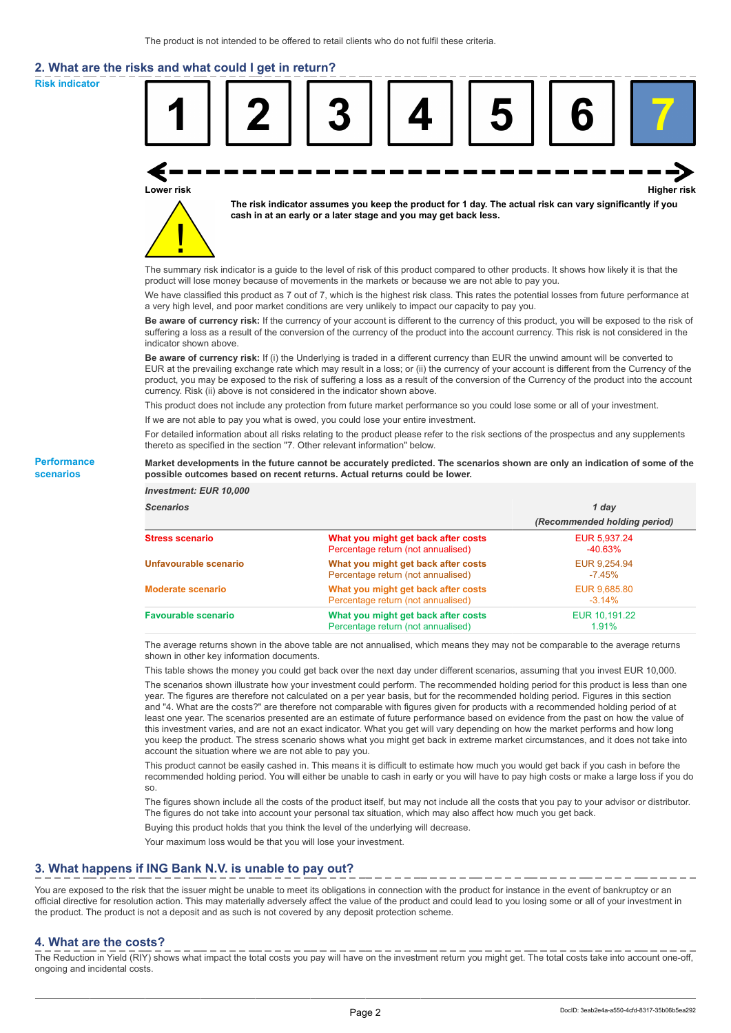# **2. What are the risks and what could I get in return?**

**Risk indicator**

**Performance scenarios**



thereto as specified in the section "7. Other relevant information" below.

#### **Market developments in the future cannot be accurately predicted. The scenarios shown are only an indication of some of the possible outcomes based on recent returns. Actual returns could be lower.**

| <b>Investment: EUR 10,000</b> |                                                                           |                              |
|-------------------------------|---------------------------------------------------------------------------|------------------------------|
| <b>Scenarios</b>              |                                                                           | 1 day                        |
|                               |                                                                           | (Recommended holding period) |
| <b>Stress scenario</b>        | What you might get back after costs<br>Percentage return (not annualised) | EUR 5.937.24<br>$-40.63%$    |
| Unfavourable scenario         | What you might get back after costs<br>Percentage return (not annualised) | EUR 9,254.94<br>$-7.45\%$    |
| <b>Moderate scenario</b>      | What you might get back after costs<br>Percentage return (not annualised) | EUR 9.685.80<br>$-3.14\%$    |
| <b>Favourable scenario</b>    | What you might get back after costs<br>Percentage return (not annualised) | EUR 10.191.22<br>1.91%       |

The average returns shown in the above table are not annualised, which means they may not be comparable to the average returns shown in other key information documents.

This table shows the money you could get back over the next day under different scenarios, assuming that you invest EUR 10,000.

The scenarios shown illustrate how your investment could perform. The recommended holding period for this product is less than one year. The figures are therefore not calculated on a per year basis, but for the recommended holding period. Figures in this section and "4. What are the costs?" are therefore not comparable with figures given for products with a recommended holding period of at least one year. The scenarios presented are an estimate of future performance based on evidence from the past on how the value of this investment varies, and are not an exact indicator. What you get will vary depending on how the market performs and how long you keep the product. The stress scenario shows what you might get back in extreme market circumstances, and it does not take into account the situation where we are not able to pay you.

This product cannot be easily cashed in. This means it is difficult to estimate how much you would get back if you cash in before the recommended holding period. You will either be unable to cash in early or you will have to pay high costs or make a large loss if you do so.

The figures shown include all the costs of the product itself, but may not include all the costs that you pay to your advisor or distributor. The figures do not take into account your personal tax situation, which may also affect how much you get back.

Buying this product holds that you think the level of the underlying will decrease.

Your maximum loss would be that you will lose your investment.

## **3. What happens if ING Bank N.V. is unable to pay out?**

You are exposed to the risk that the issuer might be unable to meet its obligations in connection with the product for instance in the event of bankruptcy or an official directive for resolution action. This may materially adversely affect the value of the product and could lead to you losing some or all of your investment in the product. The product is not a deposit and as such is not covered by any deposit protection scheme.

### **4. What are the costs?**

The Reduction in Yield (RIY) shows what impact the total costs you pay will have on the investment return you might get. The total costs take into account one-off, ongoing and incidental costs.